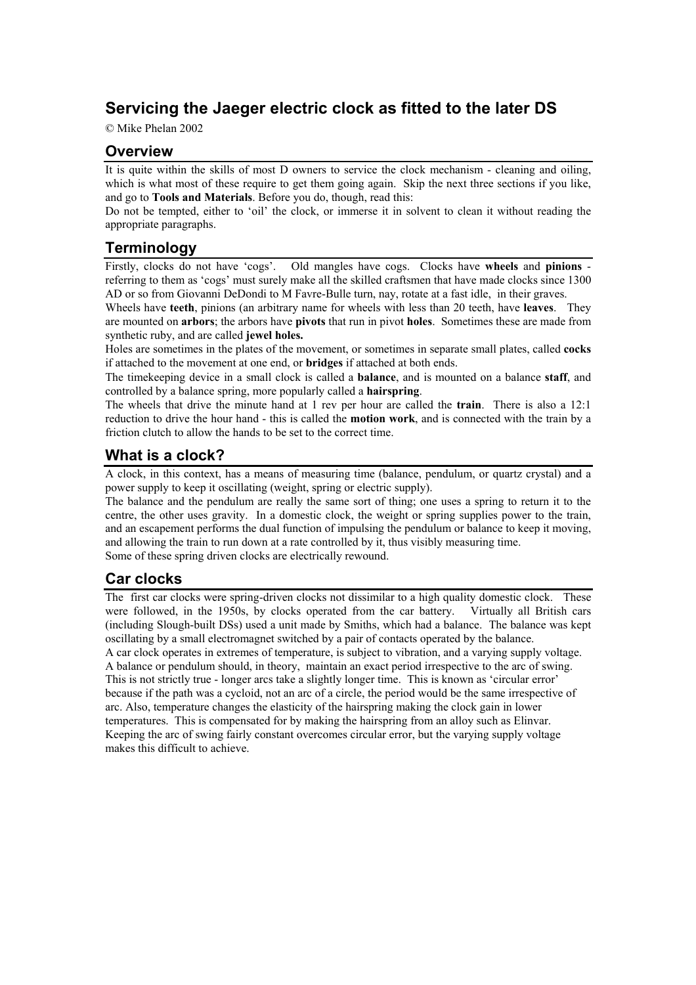# **Servicing the Jaeger electric clock as fitted to the later DS**

© Mike Phelan 2002

## **Overview**

It is quite within the skills of most D owners to service the clock mechanism - cleaning and oiling, which is what most of these require to get them going again. Skip the next three sections if you like, and go to **Tools and Materials**. Before you do, though, read this:

Do not be tempted, either to 'oil' the clock, or immerse it in solvent to clean it without reading the appropriate paragraphs.

## **Terminology**

Firstly, clocks do not have 'cogs'. Old mangles have cogs. Clocks have **wheels** and **pinions** referring to them as 'cogs' must surely make all the skilled craftsmen that have made clocks since 1300 AD or so from Giovanni DeDondi to M Favre-Bulle turn, nay, rotate at a fast idle, in their graves.

Wheels have **teeth**, pinions (an arbitrary name for wheels with less than 20 teeth, have **leaves**. They are mounted on **arbors**; the arbors have **pivots** that run in pivot **holes**. Sometimes these are made from synthetic ruby, and are called **jewel holes.** 

Holes are sometimes in the plates of the movement, or sometimes in separate small plates, called **cocks** if attached to the movement at one end, or **bridges** if attached at both ends.

The timekeeping device in a small clock is called a **balance**, and is mounted on a balance **staff**, and controlled by a balance spring, more popularly called a **hairspring**.

The wheels that drive the minute hand at 1 rev per hour are called the **train**. There is also a 12:1 reduction to drive the hour hand - this is called the **motion work**, and is connected with the train by a friction clutch to allow the hands to be set to the correct time.

## **What is a clock?**

A clock, in this context, has a means of measuring time (balance, pendulum, or quartz crystal) and a power supply to keep it oscillating (weight, spring or electric supply).

The balance and the pendulum are really the same sort of thing; one uses a spring to return it to the centre, the other uses gravity. In a domestic clock, the weight or spring supplies power to the train, and an escapement performs the dual function of impulsing the pendulum or balance to keep it moving, and allowing the train to run down at a rate controlled by it, thus visibly measuring time. Some of these spring driven clocks are electrically rewound.

## **Car clocks**

The first car clocks were spring-driven clocks not dissimilar to a high quality domestic clock. These were followed, in the 1950s, by clocks operated from the car battery. Virtually all British cars (including Slough-built DSs) used a unit made by Smiths, which had a balance. The balance was kept oscillating by a small electromagnet switched by a pair of contacts operated by the balance. A car clock operates in extremes of temperature, is subject to vibration, and a varying supply voltage.

A balance or pendulum should, in theory, maintain an exact period irrespective to the arc of swing. This is not strictly true - longer arcs take a slightly longer time. This is known as 'circular error' because if the path was a cycloid, not an arc of a circle, the period would be the same irrespective of arc. Also, temperature changes the elasticity of the hairspring making the clock gain in lower temperatures. This is compensated for by making the hairspring from an alloy such as Elinvar. Keeping the arc of swing fairly constant overcomes circular error, but the varying supply voltage makes this difficult to achieve.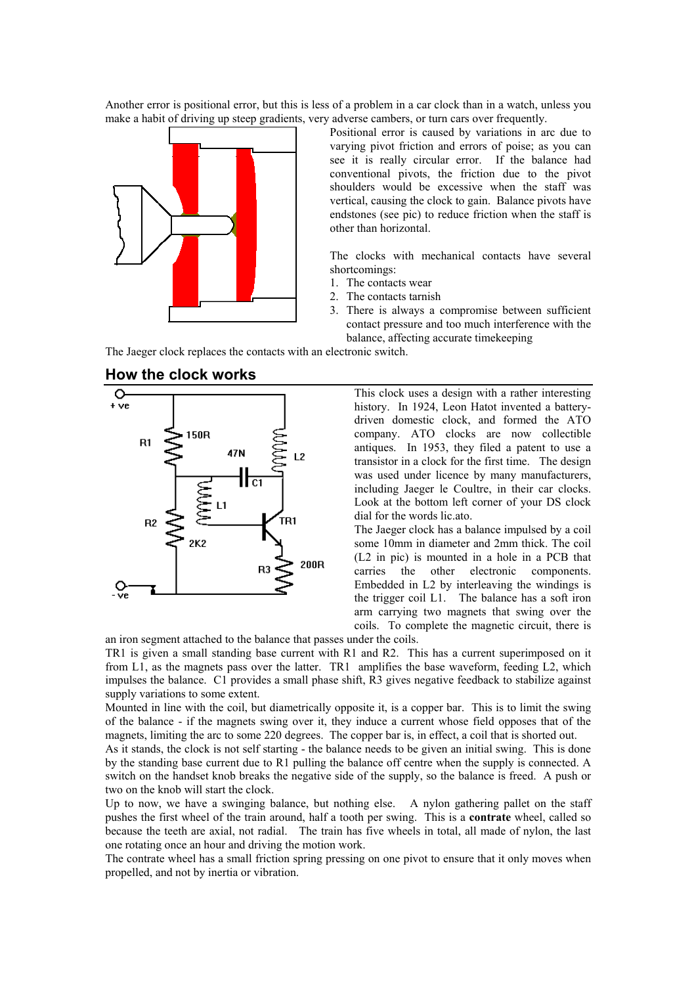Another error is positional error, but this is less of a problem in a car clock than in a watch, unless you make a habit of driving up steep gradients, very adverse cambers, or turn cars over frequently.



Positional error is caused by variations in arc due to varying pivot friction and errors of poise; as you can see it is really circular error. If the balance had conventional pivots, the friction due to the pivot shoulders would be excessive when the staff was vertical, causing the clock to gain. Balance pivots have endstones (see pic) to reduce friction when the staff is other than horizontal.

The clocks with mechanical contacts have several shortcomings:

- 1. The contacts wear
- 2. The contacts tarnish
- 3. There is always a compromise between sufficient contact pressure and too much interference with the balance, affecting accurate timekeeping

The Jaeger clock replaces the contacts with an electronic switch.



#### **How the clock works**

This clock uses a design with a rather interesting history. In 1924, Leon Hatot invented a batterydriven domestic clock, and formed the ATO company. ATO clocks are now collectible antiques. In 1953, they filed a patent to use a transistor in a clock for the first time. The design was used under licence by many manufacturers, including Jaeger le Coultre, in their car clocks. Look at the bottom left corner of your DS clock dial for the words lic.ato.

The Jaeger clock has a balance impulsed by a coil some 10mm in diameter and 2mm thick. The coil (L2 in pic) is mounted in a hole in a PCB that carries the other electronic components. Embedded in L2 by interleaving the windings is the trigger coil L1. The balance has a soft iron arm carrying two magnets that swing over the coils. To complete the magnetic circuit, there is

an iron segment attached to the balance that passes under the coils.

TR1 is given a small standing base current with R1 and R2. This has a current superimposed on it from L1, as the magnets pass over the latter. TR1 amplifies the base waveform, feeding L2, which impulses the balance. C1 provides a small phase shift, R3 gives negative feedback to stabilize against supply variations to some extent.

Mounted in line with the coil, but diametrically opposite it, is a copper bar. This is to limit the swing of the balance - if the magnets swing over it, they induce a current whose field opposes that of the magnets, limiting the arc to some 220 degrees. The copper bar is, in effect, a coil that is shorted out.

As it stands, the clock is not self starting - the balance needs to be given an initial swing. This is done by the standing base current due to R1 pulling the balance off centre when the supply is connected. A switch on the handset knob breaks the negative side of the supply, so the balance is freed. A push or two on the knob will start the clock.

Up to now, we have a swinging balance, but nothing else. A nylon gathering pallet on the staff pushes the first wheel of the train around, half a tooth per swing. This is a **contrate** wheel, called so because the teeth are axial, not radial. The train has five wheels in total, all made of nylon, the last one rotating once an hour and driving the motion work.

The contrate wheel has a small friction spring pressing on one pivot to ensure that it only moves when propelled, and not by inertia or vibration.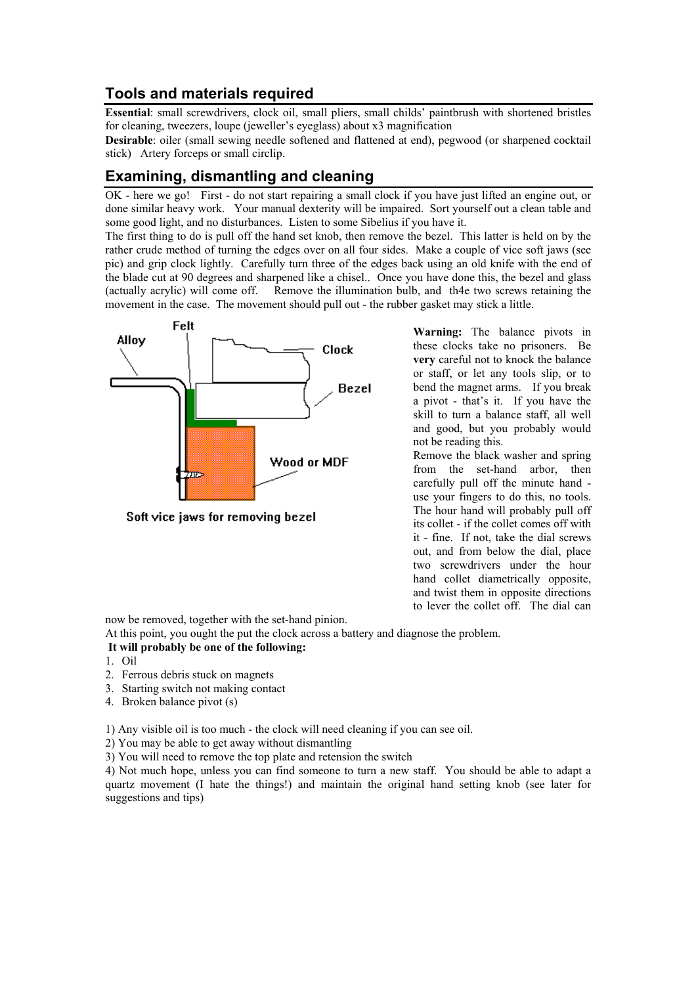## **Tools and materials required**

**Essential**: small screwdrivers, clock oil, small pliers, small childs' paintbrush with shortened bristles for cleaning, tweezers, loupe (jeweller's eyeglass) about x3 magnification

**Desirable**: oiler (small sewing needle softened and flattened at end), pegwood (or sharpened cocktail stick) Artery forceps or small circlip.

## **Examining, dismantling and cleaning**

OK - here we go! First - do not start repairing a small clock if you have just lifted an engine out, or done similar heavy work. Your manual dexterity will be impaired. Sort yourself out a clean table and some good light, and no disturbances. Listen to some Sibelius if you have it.

The first thing to do is pull off the hand set knob, then remove the bezel. This latter is held on by the rather crude method of turning the edges over on all four sides. Make a couple of vice soft jaws (see pic) and grip clock lightly. Carefully turn three of the edges back using an old knife with the end of the blade cut at 90 degrees and sharpened like a chisel.. Once you have done this, the bezel and glass (actually acrylic) will come off. Remove the illumination bulb, and th4e two screws retaining the movement in the case. The movement should pull out - the rubber gasket may stick a little.



**Warning:** The balance pivots in these clocks take no prisoners. Be **very** careful not to knock the balance or staff, or let any tools slip, or to bend the magnet arms. If you break a pivot - that's it. If you have the skill to turn a balance staff, all well and good, but you probably would not be reading this.

Remove the black washer and spring from the set-hand arbor, then carefully pull off the minute hand use your fingers to do this, no tools. The hour hand will probably pull off its collet - if the collet comes off with it - fine. If not, take the dial screws out, and from below the dial, place two screwdrivers under the hour hand collet diametrically opposite, and twist them in opposite directions to lever the collet off. The dial can

now be removed, together with the set-hand pinion.

At this point, you ought the put the clock across a battery and diagnose the problem.

#### **It will probably be one of the following:**

- 1. Oil
- 2. Ferrous debris stuck on magnets
- 3. Starting switch not making contact
- 4. Broken balance pivot (s)

1) Any visible oil is too much - the clock will need cleaning if you can see oil.

- 2) You may be able to get away without dismantling
- 3) You will need to remove the top plate and retension the switch

4) Not much hope, unless you can find someone to turn a new staff. You should be able to adapt a quartz movement (I hate the things!) and maintain the original hand setting knob (see later for suggestions and tips)